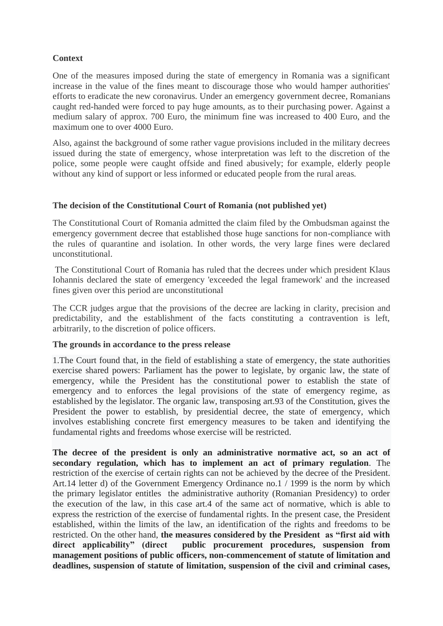## **Context**

One of the measures imposed during the state of emergency in Romania was a significant increase in the value of the fines meant to discourage those who would hamper authorities' efforts to eradicate the new coronavirus. Under an emergency government decree, Romanians caught red-handed were forced to pay huge amounts, as to their purchasing power. Against a medium salary of approx. 700 Euro, the minimum fine was increased to 400 Euro, and the maximum one to over 4000 Euro.

Also, against the background of some rather vague provisions included in the military decrees issued during the state of emergency, whose interpretation was left to the discretion of the police, some people were caught offside and fined abusively; for example, elderly people without any kind of support or less informed or educated people from the rural areas.

## **The decision of the Constitutional Court of Romania (not published yet)**

The Constitutional Court of Romania admitted the claim filed by the Ombudsman against the emergency government decree that established those huge sanctions for non-compliance with the rules of quarantine and isolation. In other words, the very large fines were declared unconstitutional.

The Constitutional Court of Romania has ruled that the decrees under which president Klaus Iohannis declared the state of emergency 'exceeded the legal framework' and the increased fines given over this period are unconstitutional

The CCR judges argue that the provisions of the decree are lacking in clarity, precision and predictability, and the establishment of the facts constituting a contravention is left, arbitrarily, to the discretion of police officers.

## **The grounds in accordance to the press release**

1.The Court found that, in the field of establishing a state of emergency, the state authorities exercise shared powers: Parliament has the power to legislate, by organic law, the state of emergency, while the President has the constitutional power to establish the state of emergency and to enforces the legal provisions of the state of emergency regime, as established by the legislator. The organic law, transposing art.93 of the Constitution, gives the President the power to establish, by presidential decree, the state of emergency, which involves establishing concrete first emergency measures to be taken and identifying the fundamental rights and freedoms whose exercise will be restricted.

**The decree of the president is only an administrative normative act, so an act of secondary regulation, which has to implement an act of primary regulation**. The restriction of the exercise of certain rights can not be achieved by the decree of the President. Art.14 letter d) of the Government Emergency Ordinance no.1 / 1999 is the norm by which the primary legislator entitles the administrative authority (Romanian Presidency) to order the execution of the law, in this case art.4 of the same act of normative, which is able to express the restriction of the exercise of fundamental rights. In the present case, the President established, within the limits of the law, an identification of the rights and freedoms to be restricted. On the other hand, **the measures considered by the President as "first aid with direct applicability" (direct public procurement procedures, suspension from management positions of public officers, non-commencement of statute of limitation and deadlines, suspension of statute of limitation, suspension of the civil and criminal cases,**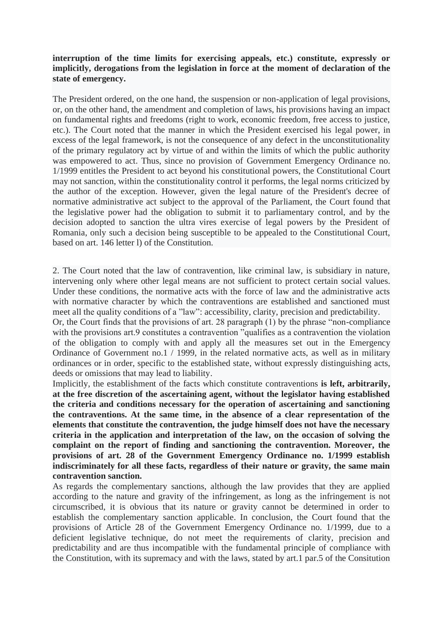## **interruption of the time limits for exercising appeals, etc.) constitute, expressly or implicitly, derogations from the legislation in force at the moment of declaration of the state of emergency.**

The President ordered, on the one hand, the suspension or non-application of legal provisions, or, on the other hand, the amendment and completion of laws, his provisions having an impact on fundamental rights and freedoms (right to work, economic freedom, free access to justice, etc.). The Court noted that the manner in which the President exercised his legal power, in excess of the legal framework, is not the consequence of any defect in the unconstitutionality of the primary regulatory act by virtue of and within the limits of which the public authority was empowered to act. Thus, since no provision of Government Emergency Ordinance no. 1/1999 entitles the President to act beyond his constitutional powers, the Constitutional Court may not sanction, within the constitutionality control it performs, the legal norms criticized by the author of the exception. However, given the legal nature of the President's decree of normative administrative act subject to the approval of the Parliament, the Court found that the legislative power had the obligation to submit it to parliamentary control, and by the decision adopted to sanction the ultra vires exercise of legal powers by the President of Romania, only such a decision being susceptible to be appealed to the Constitutional Court, based on art. 146 letter l) of the Constitution.

2. The Court noted that the law of contravention, like criminal law, is subsidiary in nature, intervening only where other legal means are not sufficient to protect certain social values. Under these conditions, the normative acts with the force of law and the administrative acts with normative character by which the contraventions are established and sanctioned must meet all the quality conditions of a "law": accessibility, clarity, precision and predictability.

Or, the Court finds that the provisions of art. 28 paragraph (1) by the phrase "non-compliance with the provisions art.9 constitutes a contravention "qualifies as a contravention the violation" of the obligation to comply with and apply all the measures set out in the Emergency Ordinance of Government no.1 / 1999, in the related normative acts, as well as in military ordinances or in order, specific to the established state, without expressly distinguishing acts, deeds or omissions that may lead to liability.

Implicitly, the establishment of the facts which constitute contraventions **is left, arbitrarily, at the free discretion of the ascertaining agent, without the legislator having established the criteria and conditions necessary for the operation of ascertaining and sanctioning the contraventions. At the same time, in the absence of a clear representation of the elements that constitute the contravention, the judge himself does not have the necessary criteria in the application and interpretation of the law, on the occasion of solving the complaint on the report of finding and sanctioning the contravention. Moreover, the provisions of art. 28 of the Government Emergency Ordinance no. 1/1999 establish indiscriminately for all these facts, regardless of their nature or gravity, the same main contravention sanction.**

As regards the complementary sanctions, although the law provides that they are applied according to the nature and gravity of the infringement, as long as the infringement is not circumscribed, it is obvious that its nature or gravity cannot be determined in order to establish the complementary sanction applicable. In conclusion, the Court found that the provisions of Article 28 of the Government Emergency Ordinance no. 1/1999, due to a deficient legislative technique, do not meet the requirements of clarity, precision and predictability and are thus incompatible with the fundamental principle of compliance with the Constitution, with its supremacy and with the laws, stated by art.1 par.5 of the Consitution